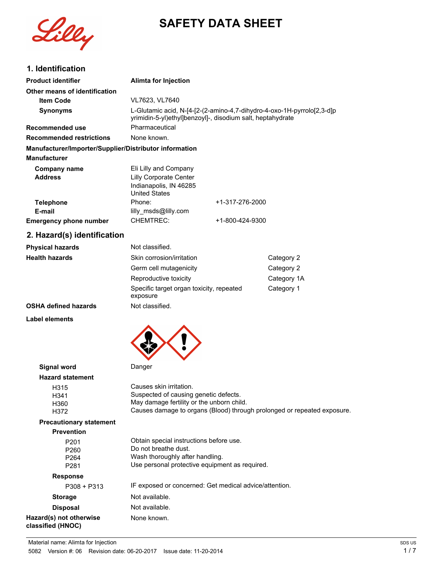



# **1. Identification**

| וטסוונווטמנו                                           |                                                                                                                                        |                 |                                                                         |
|--------------------------------------------------------|----------------------------------------------------------------------------------------------------------------------------------------|-----------------|-------------------------------------------------------------------------|
| <b>Product identifier</b>                              | <b>Alimta for Injection</b>                                                                                                            |                 |                                                                         |
| Other means of identification                          |                                                                                                                                        |                 |                                                                         |
| <b>Item Code</b>                                       | VL7623, VL7640                                                                                                                         |                 |                                                                         |
| <b>Synonyms</b>                                        | L-Glutamic acid, N-[4-[2-(2-amino-4,7-dihydro-4-oxo-1H-pyrrolo[2,3-d]p<br>yrimidin-5-yl) ethyl] benzoyl]-, disodium salt, heptahydrate |                 |                                                                         |
| Recommended use                                        | Pharmaceutical                                                                                                                         |                 |                                                                         |
| <b>Recommended restrictions</b>                        | None known.                                                                                                                            |                 |                                                                         |
| Manufacturer/Importer/Supplier/Distributor information |                                                                                                                                        |                 |                                                                         |
| <b>Manufacturer</b>                                    |                                                                                                                                        |                 |                                                                         |
| <b>Company name</b><br><b>Address</b>                  | Eli Lilly and Company<br>Lilly Corporate Center<br>Indianapolis, IN 46285<br><b>United States</b>                                      |                 |                                                                         |
| <b>Telephone</b>                                       | Phone:                                                                                                                                 | +1-317-276-2000 |                                                                         |
| E-mail                                                 | lilly_msds@lilly.com                                                                                                                   |                 |                                                                         |
| <b>Emergency phone number</b>                          | <b>CHEMTREC:</b>                                                                                                                       | +1-800-424-9300 |                                                                         |
| 2. Hazard(s) identification                            |                                                                                                                                        |                 |                                                                         |
| <b>Physical hazards</b>                                | Not classified.                                                                                                                        |                 |                                                                         |
| <b>Health hazards</b>                                  | Skin corrosion/irritation                                                                                                              |                 | Category 2                                                              |
|                                                        | Germ cell mutagenicity                                                                                                                 |                 | Category 2                                                              |
|                                                        | Reproductive toxicity                                                                                                                  |                 | Category 1A                                                             |
|                                                        | Specific target organ toxicity, repeated<br>exposure                                                                                   |                 | Category 1                                                              |
| <b>OSHA defined hazards</b>                            | Not classified.                                                                                                                        |                 |                                                                         |
| Label elements                                         |                                                                                                                                        |                 |                                                                         |
|                                                        |                                                                                                                                        |                 |                                                                         |
| <b>Signal word</b>                                     | Danger                                                                                                                                 |                 |                                                                         |
| <b>Hazard statement</b>                                |                                                                                                                                        |                 |                                                                         |
| H315                                                   | Causes skin irritation.<br>Suspected of causing genetic defects.                                                                       |                 |                                                                         |
| H341<br>H360                                           | May damage fertility or the unborn child.                                                                                              |                 |                                                                         |
| H372                                                   |                                                                                                                                        |                 | Causes damage to organs (Blood) through prolonged or repeated exposure. |
| <b>Precautionary statement</b>                         |                                                                                                                                        |                 |                                                                         |
| <b>Prevention</b>                                      |                                                                                                                                        |                 |                                                                         |
| P201<br>P260<br>DQA                                    | Obtain special instructions before use.<br>Do not breathe dust.<br>Wash thoroughly after handling                                      |                 |                                                                         |

P264 Wash thoroughly after handling.<br>P281 Use personal protective equipme Use personal protective equipment as required.

### **Response**

| $P308 + P313$                                | IF exposed or concerned: Get medical advice/attention. |
|----------------------------------------------|--------------------------------------------------------|
| <b>Storage</b>                               | Not available.                                         |
| <b>Disposal</b>                              | Not available.                                         |
| Hazard(s) not otherwise<br>classified (HNOC) | None known.                                            |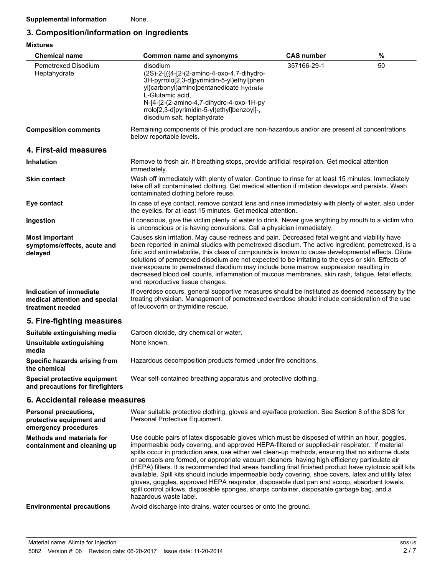### **3. Composition/information on ingredients**

| <b>Mixtures</b>                                                              |                                                                                                                                                                                                                                                                                                                                                                                                                                                                                                                                                                                                                                                 |                   |      |
|------------------------------------------------------------------------------|-------------------------------------------------------------------------------------------------------------------------------------------------------------------------------------------------------------------------------------------------------------------------------------------------------------------------------------------------------------------------------------------------------------------------------------------------------------------------------------------------------------------------------------------------------------------------------------------------------------------------------------------------|-------------------|------|
| <b>Chemical name</b>                                                         | <b>Common name and synonyms</b>                                                                                                                                                                                                                                                                                                                                                                                                                                                                                                                                                                                                                 | <b>CAS number</b> | $\%$ |
| Pemetrexed Disodium<br>Heptahydrate                                          | disodium<br>(2S)-2-[({4-[2-(2-amino-4-oxo-4,7-dihydro-<br>3H-pyrrolo[2,3-d]pyrimidin-5-yl)ethyl]phen<br>yl}carbonyl)amino]pentanedioate hydrate<br>L-Glutamic acid.<br>N-[4-[2-(2-amino-4,7-dihydro-4-oxo-1H-py<br>rrolo[2,3-d]pyrimidin-5-yl)ethyl]benzoyl]-,<br>disodium salt, heptahydrate                                                                                                                                                                                                                                                                                                                                                   | 357166-29-1       | 50   |
| <b>Composition comments</b>                                                  | Remaining components of this product are non-hazardous and/or are present at concentrations<br>below reportable levels.                                                                                                                                                                                                                                                                                                                                                                                                                                                                                                                         |                   |      |
| 4. First-aid measures                                                        |                                                                                                                                                                                                                                                                                                                                                                                                                                                                                                                                                                                                                                                 |                   |      |
| <b>Inhalation</b>                                                            | Remove to fresh air. If breathing stops, provide artificial respiration. Get medical attention<br>immediately.                                                                                                                                                                                                                                                                                                                                                                                                                                                                                                                                  |                   |      |
| <b>Skin contact</b>                                                          | Wash off immediately with plenty of water. Continue to rinse for at least 15 minutes. Immediately<br>take off all contaminated clothing. Get medical attention if irritation develops and persists. Wash<br>contaminated clothing before reuse.                                                                                                                                                                                                                                                                                                                                                                                                 |                   |      |
| Eye contact                                                                  | In case of eye contact, remove contact lens and rinse immediately with plenty of water, also under<br>the eyelids, for at least 15 minutes. Get medical attention.                                                                                                                                                                                                                                                                                                                                                                                                                                                                              |                   |      |
| Ingestion                                                                    | If conscious, give the victim plenty of water to drink. Never give anything by mouth to a victim who<br>is unconscious or is having convulsions. Call a physician immediately.                                                                                                                                                                                                                                                                                                                                                                                                                                                                  |                   |      |
| <b>Most important</b><br>symptoms/effects, acute and<br>delayed              | Causes skin irritation. May cause redness and pain. Decreased fetal weight and viability have<br>been reported in animal studies with pemetrexed disodium. The active ingredient, pemetrexed, is a<br>folic acid antimetabolite, this class of compounds is known to cause developmental effects. Dilute<br>solutions of pemetrexed disodium are not expected to be irritating to the eyes or skin. Effects of<br>overexposure to pemetrexed disodium may include bone marrow suppression resulting in<br>decreased blood cell counts, inflammation of mucous membranes, skin rash, fatigue, fetal effects,<br>and reproductive tissue changes. |                   |      |
| Indication of immediate<br>medical attention and special<br>treatment needed | If overdose occurs, general supportive measures should be instituted as deemed necessary by the<br>treating physician. Management of pemetrexed overdose should include consideration of the use<br>of leucovorin or thymidine rescue.                                                                                                                                                                                                                                                                                                                                                                                                          |                   |      |
| 5. Fire-fighting measures                                                    |                                                                                                                                                                                                                                                                                                                                                                                                                                                                                                                                                                                                                                                 |                   |      |
| Suitable extinguishing media                                                 | Carbon dioxide, dry chemical or water.                                                                                                                                                                                                                                                                                                                                                                                                                                                                                                                                                                                                          |                   |      |
| Unsuitable extinguishing<br>media                                            | None known.                                                                                                                                                                                                                                                                                                                                                                                                                                                                                                                                                                                                                                     |                   |      |
| Specific hazards arising from<br>the chemical                                | Hazardous decomposition products formed under fire conditions.                                                                                                                                                                                                                                                                                                                                                                                                                                                                                                                                                                                  |                   |      |
| Special protective equipment<br>and precautions for firefighters             | Wear self-contained breathing apparatus and protective clothing.                                                                                                                                                                                                                                                                                                                                                                                                                                                                                                                                                                                |                   |      |

### **6. Accidental release measures**

| Personal precautions,<br>protective equipment and<br>emergency procedures | Wear suitable protective clothing, gloves and eye/face protection. See Section 8 of the SDS for<br>Personal Protective Equipment.                                                                                                                                                                                                                                                                                                                                                                                                                                                                                                                                                                                                                                                                                                              |
|---------------------------------------------------------------------------|------------------------------------------------------------------------------------------------------------------------------------------------------------------------------------------------------------------------------------------------------------------------------------------------------------------------------------------------------------------------------------------------------------------------------------------------------------------------------------------------------------------------------------------------------------------------------------------------------------------------------------------------------------------------------------------------------------------------------------------------------------------------------------------------------------------------------------------------|
| Methods and materials for<br>containment and cleaning up                  | Use double pairs of latex disposable gloves which must be disposed of within an hour, goggles,<br>impermeable body covering, and approved HEPA-filtered or supplied-air respirator. If material<br>spills occur in production area, use either wet clean-up methods, ensuring that no airborne dusts<br>or aerosols are formed, or appropriate vacuum cleaners having high efficiency particulate air<br>(HEPA) filters. It is recommended that areas handling final finished product have cytotoxic spill kits<br>available. Spill kits should include impermeable body covering, shoe covers, latex and utility latex<br>gloves, goggles, approved HEPA respirator, disposable dust pan and scoop, absorbent towels,<br>spill control pillows, disposable sponges, sharps container, disposable garbage bag, and a<br>hazardous waste label. |
| <b>Environmental precautions</b>                                          | Avoid discharge into drains, water courses or onto the ground.                                                                                                                                                                                                                                                                                                                                                                                                                                                                                                                                                                                                                                                                                                                                                                                 |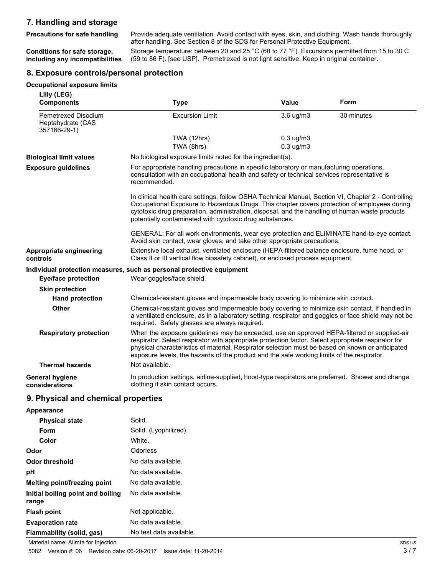### **7. Handling and storage**

**Precautions for safe handling**

Provide adequate ventilation. Avoid contact with eyes, skin, and clothing. Wash hands thoroughly after handling. See Section 8 of the SDS for Personal Protective Equipment.

**Conditions for safe storage, including any incompatibilities** Storage temperature: between 20 and 25 °C (68 to 77 °F). Excursions permitted from 15 to 30 C (59 to 86 F). [see USP]. Premetrexed is not light sensitive. Keep in original container.

#### **8. Exposure controls/personal protection**

#### **Occupational exposure limits**

| Lilly (LEG)<br><b>Components</b>                         | <b>Type</b>                                                                                                                                                                                                                                                                                                                                                                                          | <b>Value</b>   | Form       |
|----------------------------------------------------------|------------------------------------------------------------------------------------------------------------------------------------------------------------------------------------------------------------------------------------------------------------------------------------------------------------------------------------------------------------------------------------------------------|----------------|------------|
| Pemetrexed Disodium<br>Heptahydrate (CAS<br>357166-29-1) | <b>Excursion Limit</b>                                                                                                                                                                                                                                                                                                                                                                               | 3.6 ug/m3      | 30 minutes |
|                                                          | TWA (12hrs)                                                                                                                                                                                                                                                                                                                                                                                          | $0.3$ ug/m $3$ |            |
|                                                          | TWA (8hrs)                                                                                                                                                                                                                                                                                                                                                                                           | $0.3$ ug/m $3$ |            |
| <b>Biological limit values</b>                           | No biological exposure limits noted for the ingredient(s).                                                                                                                                                                                                                                                                                                                                           |                |            |
| <b>Exposure guidelines</b>                               | For appropriate handling precautions in specific laboratory or manufacturing operations,<br>consultation with an occupational health and safety or technical services representative is<br>recommended.                                                                                                                                                                                              |                |            |
|                                                          | In clinical health care settings, follow OSHA Technical Manual, Section VI, Chapter 2 - Controlling<br>Occupational Exposure to Hazardous Drugs. This chapter covers protection of employees during<br>cytotoxic drug preparation, administration, disposal, and the handling of human waste products<br>potentially contaminated with cytotoxic drug substances.                                    |                |            |
|                                                          | GENERAL: For all work environments, wear eye protection and ELIMINATE hand-to-eye contact.<br>Avoid skin contact, wear gloves, and take other appropriate precautions.                                                                                                                                                                                                                               |                |            |
| Appropriate engineering<br>controls                      | Extensive local exhaust, ventilated enclosure (HEPA-filtered balance enclosure, fume hood, or<br>Class II or III vertical flow biosafety cabinet), or enclosed process equipment.                                                                                                                                                                                                                    |                |            |
|                                                          | Individual protection measures, such as personal protective equipment                                                                                                                                                                                                                                                                                                                                |                |            |
| <b>Eye/face protection</b>                               | Wear goggles/face shield.                                                                                                                                                                                                                                                                                                                                                                            |                |            |
| <b>Skin protection</b>                                   |                                                                                                                                                                                                                                                                                                                                                                                                      |                |            |
| <b>Hand protection</b>                                   | Chemical-resistant gloves and impermeable body covering to minimize skin contact.                                                                                                                                                                                                                                                                                                                    |                |            |
| Other                                                    | Chemical-resistant gloves and impermeable body covering to minimize skin contact. If handled in<br>a ventilated enclosure, as in a laboratory setting, respirator and goggles or face shield may not be<br>required. Safety glasses are always required.                                                                                                                                             |                |            |
| <b>Respiratory protection</b>                            | When the exposure guidelines may be exceeded, use an approved HEPA-filtered or supplied-air<br>respirator. Select respirator with appropriate protection factor. Select appropriate respirator for<br>physical characteristics of material. Respirator selection must be based on known or anticipated<br>exposure levels, the hazards of the product and the safe working limits of the respirator. |                |            |
| <b>Thermal hazards</b>                                   | Not available.                                                                                                                                                                                                                                                                                                                                                                                       |                |            |
| <b>General hygiene</b><br>considerations                 | In production settings, airline-supplied, hood-type respirators are preferred. Shower and change<br>clothing if skin contact occurs.                                                                                                                                                                                                                                                                 |                |            |
| 9. Physical and chemical properties                      |                                                                                                                                                                                                                                                                                                                                                                                                      |                |            |
| Annosranco                                               |                                                                                                                                                                                                                                                                                                                                                                                                      |                |            |

| <b>HPPVULAHOV</b>                          |                         |
|--------------------------------------------|-------------------------|
| <b>Physical state</b>                      | Solid.                  |
| <b>Form</b>                                | Solid. (Lyophilized).   |
| Color                                      | White.                  |
| Odor                                       | <b>Odorless</b>         |
| Odor threshold                             | No data available.      |
| рH                                         | No data available.      |
| Melting point/freezing point               | No data available.      |
| Initial boiling point and boiling<br>range | No data available.      |
| <b>Flash point</b>                         | Not applicable.         |
| <b>Evaporation rate</b>                    | No data available.      |
| Flammability (solid, gas)                  | No test data available. |

Material name: Alimta for Injection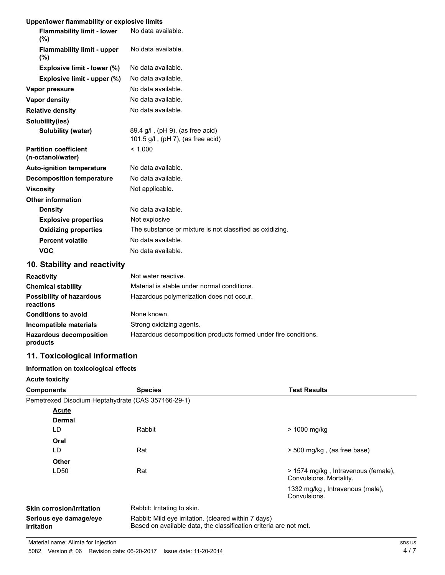#### **Upper/lower flammability or explosive limits**

| <b>Flammability limit - lower</b><br>$(\% )$      | No data available.                                                    |
|---------------------------------------------------|-----------------------------------------------------------------------|
| <b>Flammability limit - upper</b><br>(%)          | No data available.                                                    |
| Explosive limit - lower (%)                       | No data available.                                                    |
| Explosive limit - upper (%)                       | No data available.                                                    |
| Vapor pressure                                    | No data available.                                                    |
| Vapor density                                     | No data available.                                                    |
| <b>Relative density</b>                           | No data available.                                                    |
| Solubility(ies)                                   |                                                                       |
| Solubility (water)                                | 89.4 g/l, (pH 9), (as free acid)<br>101.5 g/l, (pH 7), (as free acid) |
| <b>Partition coefficient</b><br>(n-octanol/water) | < 1.000                                                               |
| <b>Auto-ignition temperature</b>                  | No data available.                                                    |
| <b>Decomposition temperature</b>                  | No data available.                                                    |
| <b>Viscosity</b>                                  | Not applicable.                                                       |
| <b>Other information</b>                          |                                                                       |
| <b>Density</b>                                    | No data available.                                                    |
| <b>Explosive properties</b>                       | Not explosive                                                         |
| <b>Oxidizing properties</b>                       | The substance or mixture is not classified as oxidizing.              |
| <b>Percent volatile</b>                           | No data available.                                                    |
| <b>VOC</b>                                        | No data available.                                                    |
|                                                   |                                                                       |

# **10. Stability and reactivity**

| <b>Reactivity</b>                            | Not water reactive.                                            |
|----------------------------------------------|----------------------------------------------------------------|
| <b>Chemical stability</b>                    | Material is stable under normal conditions.                    |
| <b>Possibility of hazardous</b><br>reactions | Hazardous polymerization does not occur.                       |
| <b>Conditions to avoid</b>                   | None known.                                                    |
| Incompatible materials                       | Strong oxidizing agents.                                       |
| <b>Hazardous decomposition</b><br>products   | Hazardous decomposition products formed under fire conditions. |

## **11. Toxicological information**

#### **Information on toxicological effects**

| <b>Components</b>                                  | <b>Species</b>                                                                                                            | <b>Test Results</b>                                            |
|----------------------------------------------------|---------------------------------------------------------------------------------------------------------------------------|----------------------------------------------------------------|
| Pemetrexed Disodium Heptahydrate (CAS 357166-29-1) |                                                                                                                           |                                                                |
| Acute                                              |                                                                                                                           |                                                                |
| <b>Dermal</b>                                      |                                                                                                                           |                                                                |
| LD                                                 | Rabbit                                                                                                                    | > 1000 mg/kg                                                   |
| Oral                                               |                                                                                                                           |                                                                |
| LD                                                 | Rat                                                                                                                       | > 500 mg/kg, (as free base)                                    |
| <b>Other</b>                                       |                                                                                                                           |                                                                |
| LD50                                               | Rat                                                                                                                       | > 1574 mg/kg, Intravenous (female),<br>Convulsions. Mortality. |
|                                                    |                                                                                                                           | 1332 mg/kg, Intravenous (male),<br>Convulsions.                |
| <b>Skin corrosion/irritation</b>                   | Rabbit: Irritating to skin.                                                                                               |                                                                |
| Serious eye damage/eye<br>irritation               | Rabbit: Mild eye irritation. (cleared within 7 days)<br>Based on available data, the classification criteria are not met. |                                                                |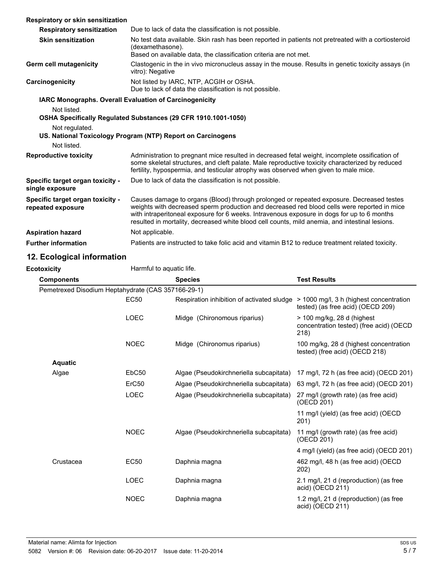| Respiratory or skin sensitization                      |                                                                                                                                                                                                                                                                                                                                                                                         |
|--------------------------------------------------------|-----------------------------------------------------------------------------------------------------------------------------------------------------------------------------------------------------------------------------------------------------------------------------------------------------------------------------------------------------------------------------------------|
| <b>Respiratory sensitization</b>                       | Due to lack of data the classification is not possible.                                                                                                                                                                                                                                                                                                                                 |
| <b>Skin sensitization</b>                              | No test data available. Skin rash has been reported in patients not pretreated with a cortiosteroid<br>(dexamethasone).<br>Based on available data, the classification criteria are not met.                                                                                                                                                                                            |
| Germ cell mutagenicity                                 | Clastogenic in the in vivo micronucleus assay in the mouse. Results in genetic toxicity assays (in<br>vitro): Negative                                                                                                                                                                                                                                                                  |
| Carcinogenicity                                        | Not listed by IARC, NTP, ACGIH or OSHA.<br>Due to lack of data the classification is not possible.                                                                                                                                                                                                                                                                                      |
| IARC Monographs. Overall Evaluation of Carcinogenicity |                                                                                                                                                                                                                                                                                                                                                                                         |
| Not listed.                                            |                                                                                                                                                                                                                                                                                                                                                                                         |
|                                                        | OSHA Specifically Regulated Substances (29 CFR 1910.1001-1050)                                                                                                                                                                                                                                                                                                                          |
| Not regulated.                                         |                                                                                                                                                                                                                                                                                                                                                                                         |
|                                                        | US. National Toxicology Program (NTP) Report on Carcinogens                                                                                                                                                                                                                                                                                                                             |
| Not listed.                                            |                                                                                                                                                                                                                                                                                                                                                                                         |
| <b>Reproductive toxicity</b>                           | Administration to pregnant mice resulted in decreased fetal weight, incomplete ossification of<br>some skeletal structures, and cleft palate. Male reproductive toxicity characterized by reduced<br>fertility, hypospermia, and testicular atrophy was observed when given to male mice.                                                                                               |
| Specific target organ toxicity -<br>single exposure    | Due to lack of data the classification is not possible.                                                                                                                                                                                                                                                                                                                                 |
| Specific target organ toxicity -<br>repeated exposure  | Causes damage to organs (Blood) through prolonged or repeated exposure. Decreased testes<br>weights with decreased sperm production and decreased red blood cells were reported in mice<br>with intraperitoneal exposure for 6 weeks. Intravenous exposure in dogs for up to 6 months<br>resulted in mortality, decreased white blood cell counts, mild anemia, and intestinal lesions. |
| <b>Aspiration hazard</b>                               | Not applicable.                                                                                                                                                                                                                                                                                                                                                                         |
| <b>Further information</b>                             | Patients are instructed to take folic acid and vitamin B12 to reduce treatment related toxicity.                                                                                                                                                                                                                                                                                        |

# **12. Ecological information**

| <b>Ecotoxicity</b>                                 |                   | Harmful to aquatic life.                   |                                                                                |  |
|----------------------------------------------------|-------------------|--------------------------------------------|--------------------------------------------------------------------------------|--|
| <b>Components</b>                                  |                   | <b>Species</b>                             | <b>Test Results</b>                                                            |  |
| Pemetrexed Disodium Heptahydrate (CAS 357166-29-1) |                   |                                            |                                                                                |  |
|                                                    | <b>EC50</b>       | Respiration inhibition of activated sludge | > 1000 mg/l, 3 h (highest concentration<br>tested) (as free acid) (OECD 209)   |  |
|                                                    | <b>LOEC</b>       | Midge (Chironomous riparius)               | > 100 mg/kg, 28 d (highest)<br>concentration tested) (free acid) (OECD<br>218) |  |
|                                                    | <b>NOEC</b>       | Midge (Chironomus riparius)                | 100 mg/kg, 28 d (highest concentration<br>tested) (free acid) (OECD 218)       |  |
| <b>Aquatic</b>                                     |                   |                                            |                                                                                |  |
| Algae                                              | EbC <sub>50</sub> | Algae (Pseudokirchneriella subcapitata)    | 17 mg/l, 72 h (as free acid) (OECD 201)                                        |  |
|                                                    | ErC <sub>50</sub> | Algae (Pseudokirchneriella subcapitata)    | 63 mg/l, 72 h (as free acid) (OECD 201)                                        |  |
|                                                    | <b>LOEC</b>       | Algae (Pseudokirchneriella subcapitata)    | 27 mg/l (growth rate) (as free acid)<br>(OECD 201)                             |  |
|                                                    |                   |                                            | 11 mg/l (yield) (as free acid) (OECD<br>201)                                   |  |
|                                                    | <b>NOEC</b>       | Algae (Pseudokirchneriella subcapitata)    | 11 mg/l (growth rate) (as free acid)<br>(OECD 201)                             |  |
|                                                    |                   |                                            | 4 mg/l (yield) (as free acid) (OECD 201)                                       |  |
| Crustacea                                          | <b>EC50</b>       | Daphnia magna                              | 462 mg/l, 48 h (as free acid) (OECD<br>202)                                    |  |
|                                                    | <b>LOEC</b>       | Daphnia magna                              | 2.1 mg/l, 21 d (reproduction) (as free<br>acid) (OECD 211)                     |  |
|                                                    | <b>NOEC</b>       | Daphnia magna                              | 1.2 mg/l, 21 d (reproduction) (as free<br>acid) (OECD 211)                     |  |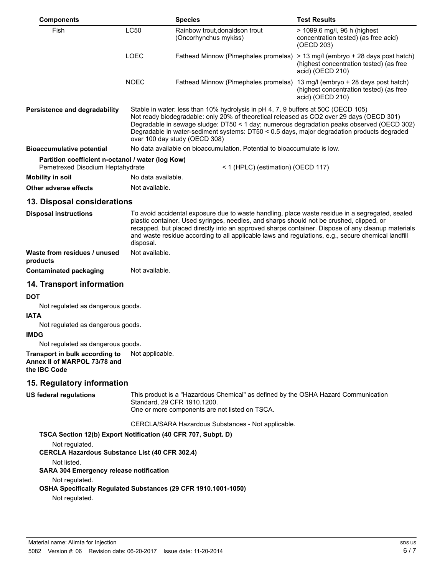| <b>Components</b>                                                                     |                                                                                                                                                                                                                                                                                                                                                                                                           | <b>Species</b>                                                                                                                                                                                                                                                                                                                                                                                         | <b>Test Results</b>                                                                                    |
|---------------------------------------------------------------------------------------|-----------------------------------------------------------------------------------------------------------------------------------------------------------------------------------------------------------------------------------------------------------------------------------------------------------------------------------------------------------------------------------------------------------|--------------------------------------------------------------------------------------------------------------------------------------------------------------------------------------------------------------------------------------------------------------------------------------------------------------------------------------------------------------------------------------------------------|--------------------------------------------------------------------------------------------------------|
| Fish                                                                                  | <b>LC50</b>                                                                                                                                                                                                                                                                                                                                                                                               | Rainbow trout.donaldson trout<br>(Oncorhynchus mykiss)                                                                                                                                                                                                                                                                                                                                                 | > 1099.6 mg/l, 96 h (highest<br>concentration tested) (as free acid)<br>(OECD 203)                     |
|                                                                                       | <b>LOEC</b>                                                                                                                                                                                                                                                                                                                                                                                               | Fathead Minnow (Pimephales promelas)                                                                                                                                                                                                                                                                                                                                                                   | > 13 mg/l (embryo + 28 days post hatch)<br>(highest concentration tested) (as free<br>acid) (OECD 210) |
|                                                                                       | <b>NOEC</b>                                                                                                                                                                                                                                                                                                                                                                                               | Fathead Minnow (Pimephales promelas) 13 mg/l (embryo + 28 days post hatch)                                                                                                                                                                                                                                                                                                                             | (highest concentration tested) (as free<br>acid) (OECD 210)                                            |
| <b>Persistence and degradability</b>                                                  | Stable in water: less than 10% hydrolysis in pH 4, 7, 9 buffers at 50C (OECD 105)<br>Not ready biodegradable: only 20% of theoretical released as CO2 over 29 days (OECD 301)<br>Degradable in sewage sludge: DT50 < 1 day; numerous degradation peaks observed (OECD 302)<br>Degradable in water-sediment systems: DT50 < 0.5 days, major degradation products degraded<br>over 100 day study (OECD 308) |                                                                                                                                                                                                                                                                                                                                                                                                        |                                                                                                        |
| <b>Bioaccumulative potential</b>                                                      |                                                                                                                                                                                                                                                                                                                                                                                                           | No data available on bioaccumulation. Potential to bioaccumulate is low.                                                                                                                                                                                                                                                                                                                               |                                                                                                        |
| Partition coefficient n-octanol / water (log Kow)<br>Pemetrexed Disodium Heptahydrate |                                                                                                                                                                                                                                                                                                                                                                                                           | < 1 (HPLC) (estimation) (OECD 117)                                                                                                                                                                                                                                                                                                                                                                     |                                                                                                        |
| Mobility in soil                                                                      | No data available.                                                                                                                                                                                                                                                                                                                                                                                        |                                                                                                                                                                                                                                                                                                                                                                                                        |                                                                                                        |
| Other adverse effects                                                                 | Not available.                                                                                                                                                                                                                                                                                                                                                                                            |                                                                                                                                                                                                                                                                                                                                                                                                        |                                                                                                        |
| 13. Disposal considerations                                                           |                                                                                                                                                                                                                                                                                                                                                                                                           |                                                                                                                                                                                                                                                                                                                                                                                                        |                                                                                                        |
| <b>Disposal instructions</b>                                                          | disposal.                                                                                                                                                                                                                                                                                                                                                                                                 | To avoid accidental exposure due to waste handling, place waste residue in a segregated, sealed<br>plastic container. Used syringes, needles, and sharps should not be crushed, clipped, or<br>recapped, but placed directly into an approved sharps container. Dispose of any cleanup materials<br>and waste residue according to all applicable laws and regulations, e.g., secure chemical landfill |                                                                                                        |
| Waste from residues / unused<br>products                                              | Not available.                                                                                                                                                                                                                                                                                                                                                                                            |                                                                                                                                                                                                                                                                                                                                                                                                        |                                                                                                        |
| <b>Contaminated packaging</b>                                                         | Not available.                                                                                                                                                                                                                                                                                                                                                                                            |                                                                                                                                                                                                                                                                                                                                                                                                        |                                                                                                        |
| 14. Transport information                                                             |                                                                                                                                                                                                                                                                                                                                                                                                           |                                                                                                                                                                                                                                                                                                                                                                                                        |                                                                                                        |
| DOT                                                                                   |                                                                                                                                                                                                                                                                                                                                                                                                           |                                                                                                                                                                                                                                                                                                                                                                                                        |                                                                                                        |
| Not regulated as dangerous goods.                                                     |                                                                                                                                                                                                                                                                                                                                                                                                           |                                                                                                                                                                                                                                                                                                                                                                                                        |                                                                                                        |
| <b>ATAI</b>                                                                           |                                                                                                                                                                                                                                                                                                                                                                                                           |                                                                                                                                                                                                                                                                                                                                                                                                        |                                                                                                        |
| Not regulated as dangerous goods.                                                     |                                                                                                                                                                                                                                                                                                                                                                                                           |                                                                                                                                                                                                                                                                                                                                                                                                        |                                                                                                        |
| <b>IMDG</b><br>Not regulated as dangerous goods.                                      |                                                                                                                                                                                                                                                                                                                                                                                                           |                                                                                                                                                                                                                                                                                                                                                                                                        |                                                                                                        |
| Transport in bulk according to<br>Annex II of MARPOL 73/78 and<br>the IBC Code        | Not applicable.                                                                                                                                                                                                                                                                                                                                                                                           |                                                                                                                                                                                                                                                                                                                                                                                                        |                                                                                                        |
| 15. Regulatory information                                                            |                                                                                                                                                                                                                                                                                                                                                                                                           |                                                                                                                                                                                                                                                                                                                                                                                                        |                                                                                                        |
| US federal regulations                                                                |                                                                                                                                                                                                                                                                                                                                                                                                           | This product is a "Hazardous Chemical" as defined by the OSHA Hazard Communication<br>Standard, 29 CFR 1910.1200.<br>One or more components are not listed on TSCA.                                                                                                                                                                                                                                    |                                                                                                        |
|                                                                                       |                                                                                                                                                                                                                                                                                                                                                                                                           | CERCLA/SARA Hazardous Substances - Not applicable.                                                                                                                                                                                                                                                                                                                                                     |                                                                                                        |
| TSCA Section 12(b) Export Notification (40 CFR 707, Subpt. D)                         |                                                                                                                                                                                                                                                                                                                                                                                                           |                                                                                                                                                                                                                                                                                                                                                                                                        |                                                                                                        |
| Not regulated.<br><b>CERCLA Hazardous Substance List (40 CFR 302.4)</b>               |                                                                                                                                                                                                                                                                                                                                                                                                           |                                                                                                                                                                                                                                                                                                                                                                                                        |                                                                                                        |
| Not listed.<br><b>SARA 304 Emergency release notification</b>                         |                                                                                                                                                                                                                                                                                                                                                                                                           |                                                                                                                                                                                                                                                                                                                                                                                                        |                                                                                                        |
| Not regulated.                                                                        |                                                                                                                                                                                                                                                                                                                                                                                                           |                                                                                                                                                                                                                                                                                                                                                                                                        |                                                                                                        |

**OSHA Specifically Regulated Substances (29 CFR 1910.1001-1050)**

Not regulated.